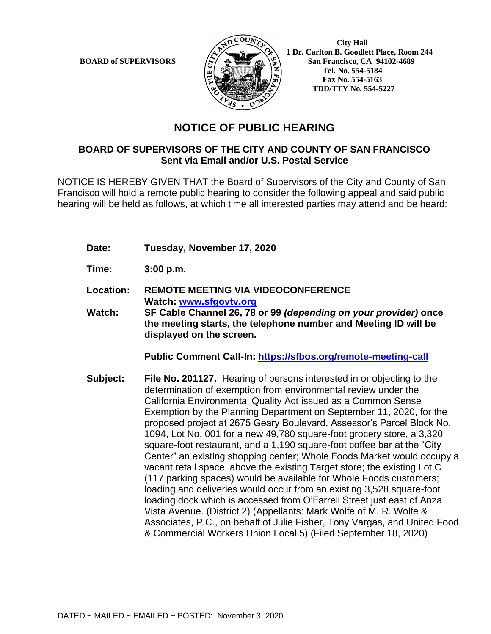

 **1 Dr. Carlton B. Goodlett Place, Room 244 BOARD of SUPERVISORS**  $\left(\frac{S}{I}\right)$   $\oplus$   $\left(\frac{S}{I}\right)$  San Francisco, CA 94102-4689  **Tel. No. 554-5184 Fax No. 554-5163 TDD/TTY No. 554-5227**

## **NOTICE OF PUBLIC HEARING**

## **BOARD OF SUPERVISORS OF THE CITY AND COUNTY OF SAN FRANCISCO Sent via Email and/or U.S. Postal Service**

NOTICE IS HEREBY GIVEN THAT the Board of Supervisors of the City and County of San Francisco will hold a remote public hearing to consider the following appeal and said public hearing will be held as follows, at which time all interested parties may attend and be heard:

- **Date: Tuesday, November 17, 2020**
- **Time: 3:00 p.m.**
- **Location: REMOTE MEETING VIA VIDEOCONFERENCE Watch: [www.sfgovtv.org](http://www.sfgovtv.org/)**
- **Watch: SF Cable Channel 26, 78 or 99** *(depending on your provider)* **once the meeting starts, the telephone number and Meeting ID will be displayed on the screen.**

**Public Comment Call-In:<https://sfbos.org/remote-meeting-call>**

**Subject: File No. 201127.** Hearing of persons interested in or objecting to the determination of exemption from environmental review under the California Environmental Quality Act issued as a Common Sense Exemption by the Planning Department on September 11, 2020, for the proposed project at 2675 Geary Boulevard, Assessor's Parcel Block No. 1094, Lot No. 001 for a new 49,780 square-foot grocery store, a 3,320 square-foot restaurant, and a 1,190 square-foot coffee bar at the "City Center" an existing shopping center; Whole Foods Market would occupy a vacant retail space, above the existing Target store; the existing Lot C (117 parking spaces) would be available for Whole Foods customers; loading and deliveries would occur from an existing 3,528 square-foot loading dock which is accessed from O'Farrell Street just east of Anza Vista Avenue. (District 2) (Appellants: Mark Wolfe of M. R. Wolfe & Associates, P.C., on behalf of Julie Fisher, Tony Vargas, and United Food & Commercial Workers Union Local 5) (Filed September 18, 2020)